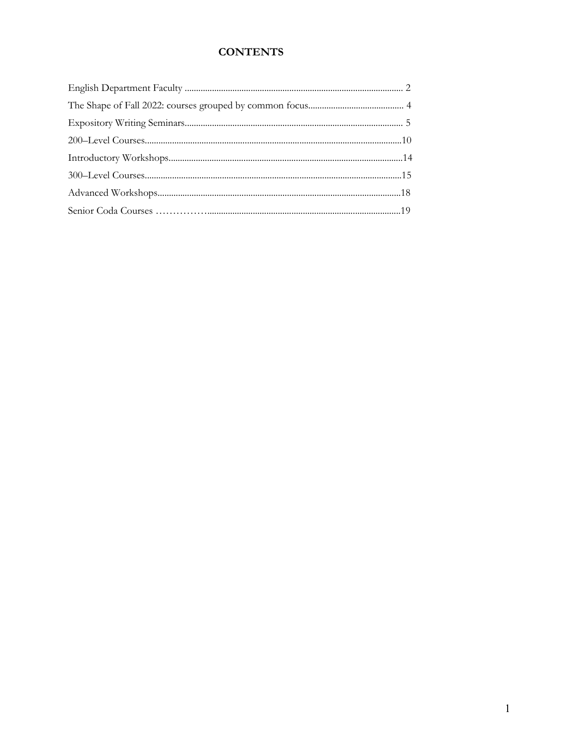# **CONTENTS**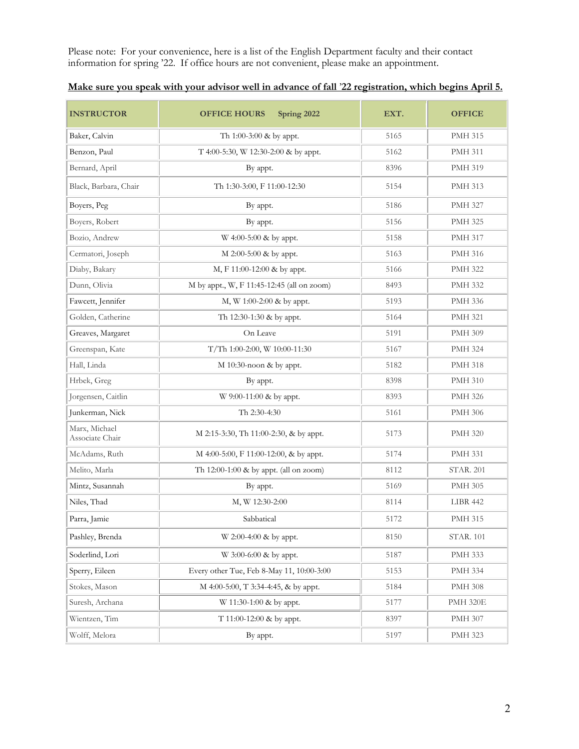Please note: For your convenience, here is a list of the English Department faculty and their contact information for spring '22. If office hours are not convenient, please make an appointment.

| <b>INSTRUCTOR</b>                | Spring 2022<br><b>OFFICE HOURS</b>         | EXT. | <b>OFFICE</b>    |
|----------------------------------|--------------------------------------------|------|------------------|
| Baker, Calvin                    | Th 1:00-3:00 & by appt.                    | 5165 | <b>PMH 315</b>   |
| Benzon, Paul                     | T 4:00-5:30, W 12:30-2:00 & by appt.       | 5162 | <b>PMH 311</b>   |
| Bernard, April                   | By appt.                                   | 8396 | <b>PMH 319</b>   |
| Black, Barbara, Chair            | Th 1:30-3:00, F 11:00-12:30                | 5154 | <b>PMH 313</b>   |
| Boyers, Peg                      | By appt.                                   | 5186 | <b>PMH 327</b>   |
| Boyers, Robert                   | By appt.                                   | 5156 | <b>PMH 325</b>   |
| Bozio, Andrew                    | W 4:00-5:00 & by appt.                     | 5158 | <b>PMH 317</b>   |
| Cermatori, Joseph                | M 2:00-5:00 & by appt.                     | 5163 | <b>PMH 316</b>   |
| Diaby, Bakary                    | M, F 11:00-12:00 & by appt.                | 5166 | <b>PMH 322</b>   |
| Dunn, Olivia                     | M by appt., W, F 11:45-12:45 (all on zoom) | 8493 | <b>PMH 332</b>   |
| Fawcett, Jennifer                | M, W 1:00-2:00 & by appt.                  | 5193 | <b>PMH 336</b>   |
| Golden, Catherine                | Th 12:30-1:30 & by appt.                   | 5164 | <b>PMH 321</b>   |
| Greaves, Margaret                | On Leave                                   | 5191 | <b>PMH 309</b>   |
| Greenspan, Kate                  | T/Th 1:00-2:00, W 10:00-11:30              | 5167 | <b>PMH 324</b>   |
| Hall, Linda                      | $M$ 10:30-noon & by appt.                  | 5182 | <b>PMH 318</b>   |
| Hrbek, Greg                      | By appt.                                   | 8398 | <b>PMH 310</b>   |
| Jorgensen, Caitlin               | W 9:00-11:00 & by appt.                    | 8393 | <b>PMH 326</b>   |
| Junkerman, Nick                  | Th 2:30-4:30                               | 5161 | <b>PMH 306</b>   |
| Marx, Michael<br>Associate Chair | M 2:15-3:30, Th 11:00-2:30, & by appt.     | 5173 | <b>PMH 320</b>   |
| McAdams, Ruth                    | M 4:00-5:00, F 11:00-12:00, & by appt.     | 5174 | <b>PMH 331</b>   |
| Melito, Marla                    | Th 12:00-1:00 & by appt. (all on zoom)     | 8112 | <b>STAR. 201</b> |
| Mintz, Susannah                  | By appt.                                   | 5169 | <b>PMH 305</b>   |
| Niles, Thad                      | M, W 12:30-2:00                            | 8114 | LIBR 442         |
| Parra, Jamie                     | Sabbatical                                 | 5172 | <b>PMH 315</b>   |
| Pashley, Brenda                  | W 2:00-4:00 & by appt.                     | 8150 | <b>STAR. 101</b> |
| Soderlind, Lori                  | W 3:00-6:00 & by appt.                     | 5187 | <b>PMH 333</b>   |
| Sperry, Eileen                   | Every other Tue, Feb 8-May 11, 10:00-3:00  | 5153 | <b>PMH 334</b>   |
| Stokes, Mason                    | M 4:00-5:00, T 3:34-4:45, & by appt.       | 5184 | <b>PMH 308</b>   |
| Suresh, Archana                  | W 11:30-1:00 & by appt.                    | 5177 | <b>PMH 320E</b>  |
| Wientzen, Tim                    | T 11:00-12:00 & by appt.                   | 8397 | <b>PMH 307</b>   |
| Wolff, Melora                    | By appt.                                   | 5197 | PMH 323          |

# **Make sure you speak with your advisor well in advance of fall** '**22 registration, which begins April 5.**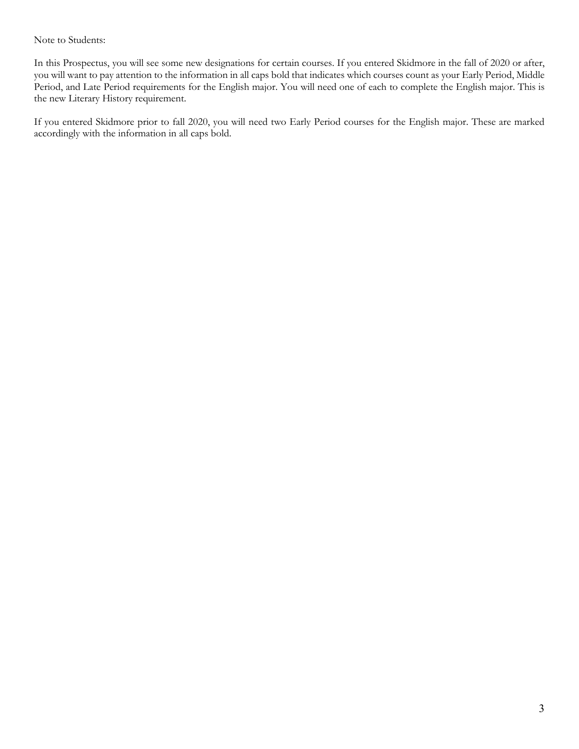Note to Students:

In this Prospectus, you will see some new designations for certain courses. If you entered Skidmore in the fall of 2020 or after, you will want to pay attention to the information in all caps bold that indicates which courses count as your Early Period, Middle Period, and Late Period requirements for the English major. You will need one of each to complete the English major. This is the new Literary History requirement.

If you entered Skidmore prior to fall 2020, you will need two Early Period courses for the English major. These are marked accordingly with the information in all caps bold.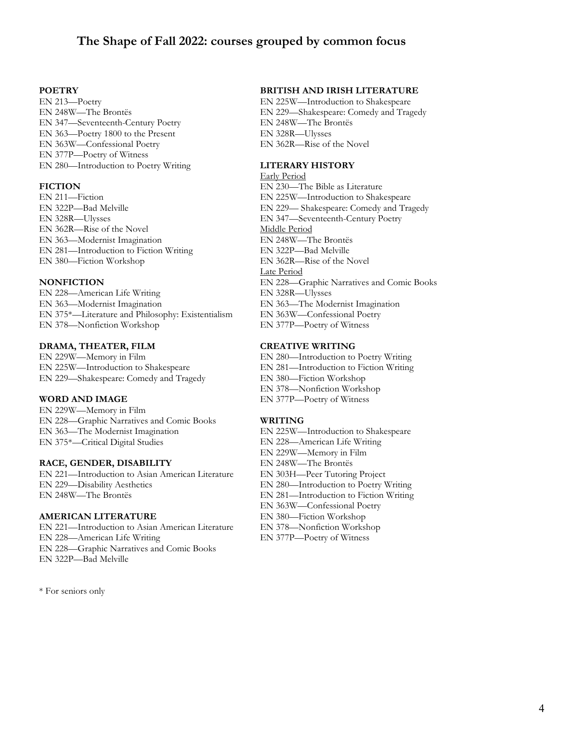# **The Shape of Fall 2022: courses grouped by common focus**

#### **POETRY**

EN 213—Poetry EN 248W—The Brontës EN 347—Seventeenth-Century Poetry EN 363—Poetry 1800 to the Present EN 363W—Confessional Poetry EN 377P—Poetry of Witness EN 280—Introduction to Poetry Writing

#### **FICTION**

EN 211—Fiction EN 322P—Bad Melville EN 328R—Ulysses EN 362R—Rise of the Novel EN 363—Modernist Imagination EN 281—Introduction to Fiction Writing EN 380—Fiction Workshop

#### **NONFICTION**

EN 228—American Life Writing EN 363—Modernist Imagination EN 375\*—Literature and Philosophy: Existentialism EN 378—Nonfiction Workshop

#### **DRAMA, THEATER, FILM**

EN 229W—Memory in Film EN 225W—Introduction to Shakespeare EN 229—Shakespeare: Comedy and Tragedy

#### **WORD AND IMAGE**

EN 229W—Memory in Film EN 228—Graphic Narratives and Comic Books EN 363—The Modernist Imagination EN 375\*—Critical Digital Studies

#### **RACE, GENDER, DISABILITY**

EN 221—Introduction to Asian American Literature EN 229—Disability Aesthetics EN 248W—The Brontës

#### **AMERICAN LITERATURE**

EN 221—Introduction to Asian American Literature EN 228—American Life Writing EN 228—Graphic Narratives and Comic Books EN 322P—Bad Melville

\* For seniors only

#### **BRITISH AND IRISH LITERATURE**

EN 225W—Introduction to Shakespeare EN 229—Shakespeare: Comedy and Tragedy EN 248W—The Brontës EN 328R—Ulysses EN 362R—Rise of the Novel

#### **LITERARY HISTORY**

Early Period EN 230—The Bible as Literature EN 225W—Introduction to Shakespeare EN 229— Shakespeare: Comedy and Tragedy EN 347—Seventeenth-Century Poetry Middle Period EN 248W—The Brontës EN 322P—Bad Melville EN 362R—Rise of the Novel Late Period EN 228—Graphic Narratives and Comic Books EN 328R—Ulysses EN 363—The Modernist Imagination EN 363W—Confessional Poetry EN 377P—Poetry of Witness

#### **CREATIVE WRITING**

EN 280—Introduction to Poetry Writing EN 281—Introduction to Fiction Writing EN 380—Fiction Workshop EN 378—Nonfiction Workshop EN 377P—Poetry of Witness

#### **WRITING**

EN 225W—Introduction to Shakespeare EN 228—American Life Writing EN 229W—Memory in Film EN 248W—The Brontës EN 303H—Peer Tutoring Project EN 280—Introduction to Poetry Writing EN 281—Introduction to Fiction Writing EN 363W—Confessional Poetry EN 380—Fiction Workshop EN 378—Nonfiction Workshop EN 377P—Poetry of Witness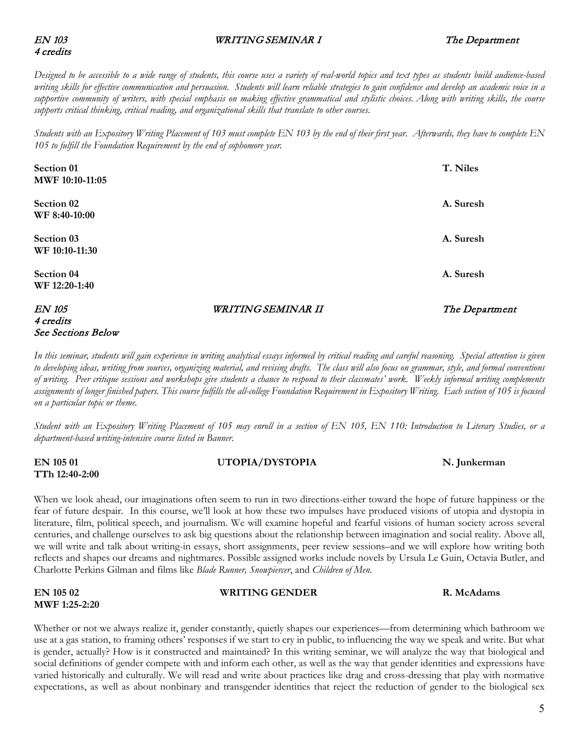### EN 103 WRITING SEMINAR I The Department

# 4 credits

*Designed to be accessible to a wide range of students, this course uses a variety of real-world topics and text types as students build audience-based writing skills for effective communication and persuasion. Students will learn reliable strategies to gain confidence and develop an academic voice in a supportive community of writers, with special emphasis on making effective grammatical and stylistic choices. Along with writing skills, the course supports critical thinking, critical reading, and organizational skills that translate to other courses.*

*Students with an Expository Writing Placement of 103 must complete EN 103 by the end of their first year. Afterwards, they have to complete EN 105 to fulfill the Foundation Requirement by the end of sophomore year.*

| Section 01<br>MWF 10:10-11:05 |                    | T. Niles       |
|-------------------------------|--------------------|----------------|
| Section 02<br>WF 8:40-10:00   |                    | A. Suresh      |
| Section 03<br>WF 10:10-11:30  |                    | A. Suresh      |
| Section 04<br>WF 12:20-1:40   |                    | A. Suresh      |
| <b>EN 105</b>                 | WRITING SEMINAR II | The Department |

# 4 credits See Sections Below

*In this seminar, students will gain experience in writing analytical essays informed by critical reading and careful reasoning. Special attention is given to developing ideas, writing from sources, organizing material, and revising drafts. The class will also focus on grammar, style, and formal conventions of writing. Peer critique sessions and workshops give students a chance to respond to their classmates' work. Weekly informal writing complements assignments of longer finished papers. This course fulfills the all-college Foundation Requirement in Expository Writing. Each section of 105 is focused on a particular topic or theme.* 

*Student with an Expository Writing Placement of 105 may enroll in a section of EN 105, EN 110: Introduction to Literary Studies, or a department-based writing-intensive course listed in Banner.*

**EN 105 01 UTOPIA/DYSTOPIA N. Junkerman TTh 12:40-2:00** 

When we look ahead, our imaginations often seem to run in two directions-either toward the hope of future happiness or the fear of future despair. In this course, we'll look at how these two impulses have produced visions of utopia and dystopia in literature, film, political speech, and journalism. We will examine hopeful and fearful visions of human society across several centuries, and challenge ourselves to ask big questions about the relationship between imagination and social reality. Above all, we will write and talk about writing-in essays, short assignments, peer review sessions–and we will explore how writing both reflects and shapes our dreams and nightmares. Possible assigned works include novels by Ursula Le Guin, Octavia Butler, and Charlotte Perkins Gilman and films like *Blade Runner, Snowpiercer*, and *Children of Men*.

**EN 105 02 WRITING GENDER R. McAdams MWF 1:25-2:20**

Whether or not we always realize it, gender constantly, quietly shapes our experiences—from determining which bathroom we use at a gas station, to framing others' responses if we start to cry in public, to influencing the way we speak and write. But what is gender, actually? How is it constructed and maintained? In this writing seminar, we will analyze the way that biological and social definitions of gender compete with and inform each other, as well as the way that gender identities and expressions have varied historically and culturally. We will read and write about practices like drag and cross-dressing that play with normative expectations, as well as about nonbinary and transgender identities that reject the reduction of gender to the biological sex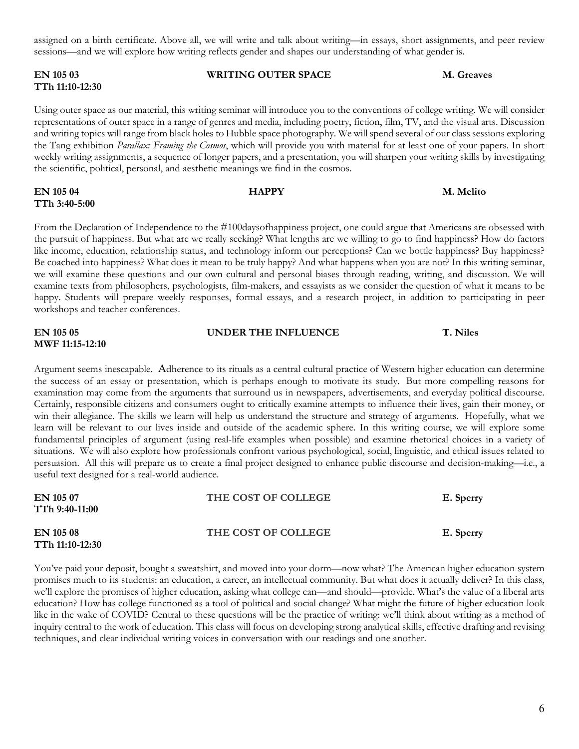assigned on a birth certificate. Above all, we will write and talk about writing—in essays, short assignments, and peer review sessions—and we will explore how writing reflects gender and shapes our understanding of what gender is.

## **EN 105 03 WRITING OUTER SPACE M. Greaves TTh 11:10-12:30**

Using outer space as our material, this writing seminar will introduce you to the conventions of college writing. We will consider representations of outer space in a range of genres and media, including poetry, fiction, film, TV, and the visual arts. Discussion and writing topics will range from black holes to Hubble space photography. We will spend several of our class sessions exploring the Tang exhibition *Parallax: Framing the Cosmos*, which will provide you with material for at least one of your papers. In short weekly writing assignments, a sequence of longer papers, and a presentation, you will sharpen your writing skills by investigating the scientific, political, personal, and aesthetic meanings we find in the cosmos.

# **EN 105 04 HAPPY M. Melito TTh 3:40-5:00**

From the Declaration of Independence to the #100daysofhappiness project, one could argue that Americans are obsessed with the pursuit of happiness. But what are we really seeking? What lengths are we willing to go to find happiness? How do factors like income, education, relationship status, and technology inform our perceptions? Can we bottle happiness? Buy happiness? Be coached into happiness? What does it mean to be truly happy? And what happens when you are not? In this writing seminar, we will examine these questions and our own cultural and personal biases through reading, writing, and discussion. We will examine texts from philosophers, psychologists, film-makers, and essayists as we consider the question of what it means to be happy. Students will prepare weekly responses, formal essays, and a research project, in addition to participating in peer workshops and teacher conferences.

| EN 105 05              | UNDER THE INFLUENCE | T. Niles |
|------------------------|---------------------|----------|
| <b>MWF 11:15-12:10</b> |                     |          |

Argument seems inescapable. Adherence to its rituals as a central cultural practice of Western higher education can determine the success of an essay or presentation, which is perhaps enough to motivate its study. But more compelling reasons for examination may come from the arguments that surround us in newspapers, advertisements, and everyday political discourse. Certainly, responsible citizens and consumers ought to critically examine attempts to influence their lives, gain their money, or win their allegiance. The skills we learn will help us understand the structure and strategy of arguments. Hopefully, what we learn will be relevant to our lives inside and outside of the academic sphere. In this writing course, we will explore some fundamental principles of argument (using real-life examples when possible) and examine rhetorical choices in a variety of situations. We will also explore how professionals confront various psychological, social, linguistic, and ethical issues related to persuasion. All this will prepare us to create a final project designed to enhance public discourse and decision-making—i.e., a useful text designed for a real-world audience.

| EN 105 07<br>TTh 9:40-11:00  | THE COST OF COLLEGE | E. Sperry |
|------------------------------|---------------------|-----------|
| EN 105 08<br>TTh 11:10-12:30 | THE COST OF COLLEGE | E. Sperry |

You've paid your deposit, bought a sweatshirt, and moved into your dorm—now what? The American higher education system promises much to its students: an education, a career, an intellectual community. But what does it actually deliver? In this class, we'll explore the promises of higher education, asking what college can—and should—provide. What's the value of a liberal arts education? How has college functioned as a tool of political and social change? What might the future of higher education look like in the wake of COVID? Central to these questions will be the practice of writing: we'll think about writing as a method of inquiry central to the work of education. This class will focus on developing strong analytical skills, effective drafting and revising techniques, and clear individual writing voices in conversation with our readings and one another.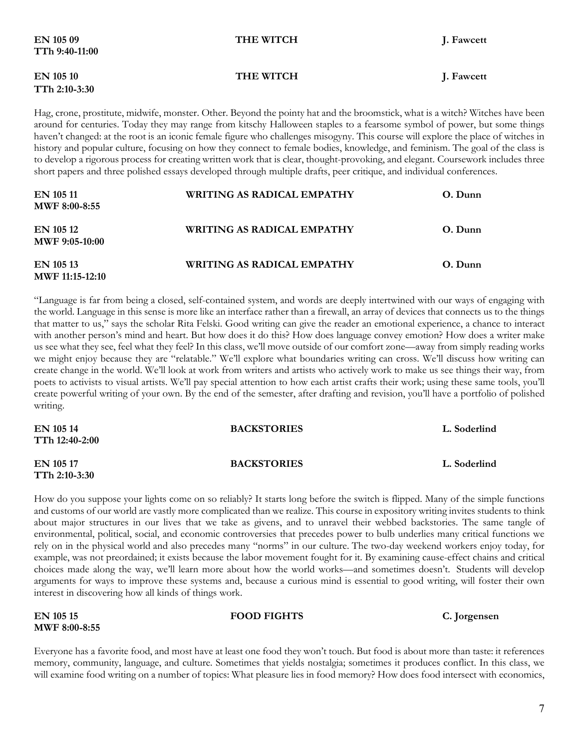| TTh 9:40-11:00                    |                                                                                                                                                                                                                                                           |            |
|-----------------------------------|-----------------------------------------------------------------------------------------------------------------------------------------------------------------------------------------------------------------------------------------------------------|------------|
| <b>EN 105 10</b><br>TTh 2:10-3:30 | THE WITCH                                                                                                                                                                                                                                                 | J. Fawcett |
|                                   | Hag, crone, prostitute, midwife, monster. Other. Beyond the pointy hat and the broomstick, what is a witch? Witches have been<br>around for centuries. Today they may range from kitschy Halloween staples to a fearsome symbol of power, but some things |            |

**EN 105 09** THE WITCH **I.** Fawcett

around for centuries. Today they may range from kitschy Halloween staples to a fearsome symbol of power, but some things haven't changed: at the root is an iconic female figure who challenges misogyny. This course will explore the place of witches in history and popular culture, focusing on how they connect to female bodies, knowledge, and feminism. The goal of the class is to develop a rigorous process for creating written work that is clear, thought-provoking, and elegant. Coursework includes three short papers and three polished essays developed through multiple drafts, peer critique, and individual conferences.

| EN 105 11<br><b>MWF 8:00-8:55</b>   | WRITING AS RADICAL EMPATHY        | O. Dunn |
|-------------------------------------|-----------------------------------|---------|
| EN 105 12<br>MWF 9:05-10:00         | <b>WRITING AS RADICAL EMPATHY</b> | O. Dunn |
| EN 105 13<br><b>MWF</b> 11:15-12:10 | WRITING AS RADICAL EMPATHY        | O. Dunn |

"Language is far from being a closed, self-contained system, and words are deeply intertwined with our ways of engaging with the world. Language in this sense is more like an interface rather than a firewall, an array of devices that connects us to the things that matter to us," says the scholar Rita Felski. Good writing can give the reader an emotional experience, a chance to interact with another person's mind and heart. But how does it do this? How does language convey emotion? How does a writer make us see what they see, feel what they feel? In this class, we'll move outside of our comfort zone—away from simply reading works we might enjoy because they are "relatable." We'll explore what boundaries writing can cross. We'll discuss how writing can create change in the world. We'll look at work from writers and artists who actively work to make us see things their way, from poets to activists to visual artists. We'll pay special attention to how each artist crafts their work; using these same tools, you'll create powerful writing of your own. By the end of the semester, after drafting and revision, you'll have a portfolio of polished writing.

| EN 105 14<br>TTh 12:40-2:00  | <b>BACKSTORIES</b> | L. Soderlind |
|------------------------------|--------------------|--------------|
| EN 105 17<br>$TTh$ 2:10-3:30 | <b>BACKSTORIES</b> | L. Soderlind |

How do you suppose your lights come on so reliably? It starts long before the switch is flipped. Many of the simple functions and customs of our world are vastly more complicated than we realize. This course in expository writing invites students to think about major structures in our lives that we take as givens, and to unravel their webbed backstories. The same tangle of environmental, political, social, and economic controversies that precedes power to bulb underlies many critical functions we rely on in the physical world and also precedes many "norms" in our culture. The two-day weekend workers enjoy today, for example, was not preordained; it exists because the labor movement fought for it. By examining cause-effect chains and critical choices made along the way, we'll learn more about how the world works—and sometimes doesn't. Students will develop arguments for ways to improve these systems and, because a curious mind is essential to good writing, will foster their own interest in discovering how all kinds of things work.

| <b>EN 105 15</b>     | <b>FOOD FIGHTS</b> | C. Jorgensen |
|----------------------|--------------------|--------------|
| <b>MWF 8:00-8:55</b> |                    |              |

Everyone has a favorite food, and most have at least one food they won't touch. But food is about more than taste: it references memory, community, language, and culture. Sometimes that yields nostalgia; sometimes it produces conflict. In this class, we will examine food writing on a number of topics: What pleasure lies in food memory? How does food intersect with economics,

7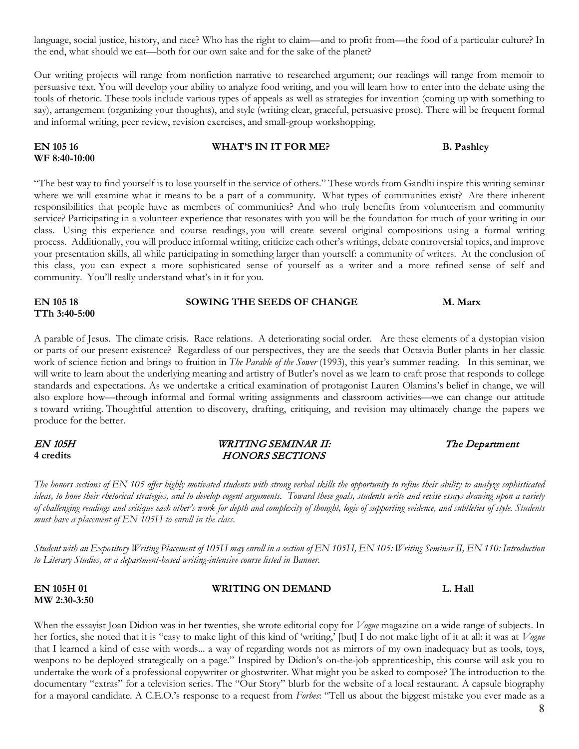language, social justice, history, and race? Who has the right to claim—and to profit from—the food of a particular culture? In the end, what should we eat—both for our own sake and for the sake of the planet?

Our writing projects will range from nonfiction narrative to researched argument; our readings will range from memoir to persuasive text. You will develop your ability to analyze food writing, and you will learn how to enter into the debate using the tools of rhetoric. These tools include various types of appeals as well as strategies for invention (coming up with something to say), arrangement (organizing your thoughts), and style (writing clear, graceful, persuasive prose). There will be frequent formal and informal writing, peer review, revision exercises, and small-group workshopping.

# **EN 105 16 EN 105 16 WHAT'S IN IT FOR ME? B. Pashley WF 8:40-10:00**

"The best way to find yourself is to lose yourself in the service of others." These words from Gandhi inspire this writing seminar where we will examine what it means to be a part of a community. What types of communities exist? Are there inherent responsibilities that people have as members of communities? And who truly benefits from volunteerism and community service? Participating in a volunteer experience that resonates with you will be the foundation for much of your writing in our class. Using this experience and course readings, you will create several original compositions using a formal writing process. Additionally, you will produce informal writing, criticize each other's writings, debate controversial topics, and improve your presentation skills, all while participating in something larger than yourself: a community of writers. At the conclusion of this class, you can expect a more sophisticated sense of yourself as a writer and a more refined sense of self and community. You'll really understand what's in it for you.

# **EN 105 18 SOWING THE SEEDS OF CHANGE M. Marx TTh 3:40-5:00**

A parable of Jesus. The climate crisis. Race relations. A deteriorating social order. Are these elements of a dystopian vision or parts of our present existence? Regardless of our perspectives, they are the seeds that Octavia Butler plants in her classic work of science fiction and brings to fruition in *The Parable of the Sower* (1993), this year's summer reading. In this seminar, we will write to learn about the underlying meaning and artistry of Butler's novel as we learn to craft prose that responds to college standards and expectations. As we undertake a critical examination of protagonist Lauren Olamina's belief in change, we will also explore how—through informal and formal writing assignments and classroom activities—we can change our attitude s toward writing. Thoughtful attention to discovery, drafting, critiquing, and revision may ultimately change the papers we produce for the better.

#### EN 105H WRITING SEMINAR II: The Department 4 credits **HONORS SECTIONS**

*The honors sections of EN 105 offer highly motivated students with strong verbal skills the opportunity to refine their ability to analyze sophisticated ideas, to hone their rhetorical strategies, and to develop cogent arguments. Toward these goals, students write and revise essays drawing upon a variety of challenging readings and critique each other's work for depth and complexity of thought, logic of supporting evidence, and subtleties of style. Students must have a placement of EN 105H to enroll in the class.*

*Student with an Expository Writing Placement of 105H may enroll in a section of EN 105H, EN 105: Writing Seminar II, EN 110: Introduction to Literary Studies, or a department-based writing-intensive course listed in Banner.*

#### **EN 105H 01** WRITING ON DEMAND L. Hall **MW 2:30-3:50**

When the essayist Joan Didion was in her twenties, she wrote editorial copy for *Vogue* magazine on a wide range of subjects. In her forties, she noted that it is "easy to make light of this kind of 'writing,' [but] I do not make light of it at all: it was at *Vogue*  that I learned a kind of ease with words... a way of regarding words not as mirrors of my own inadequacy but as tools, toys, weapons to be deployed strategically on a page." Inspired by Didion's on-the-job apprenticeship, this course will ask you to undertake the work of a professional copywriter or ghostwriter. What might you be asked to compose? The introduction to the documentary "extras" for a television series. The "Our Story" blurb for the website of a local restaurant. A capsule biography for a mayoral candidate. A C.E.O.'s response to a request from *Forbes*: "Tell us about the biggest mistake you ever made as a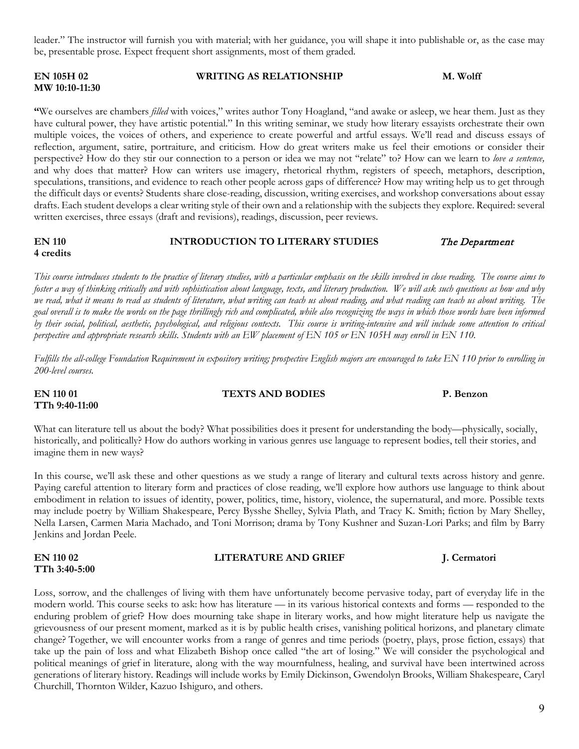leader." The instructor will furnish you with material; with her guidance, you will shape it into publishable or, as the case may be, presentable prose. Expect frequent short assignments, most of them graded.

# **MW 10:10-11:30**

**TTh 9:40-11:00** 

**TTh 3:40-5:00** 

**EN 105H 02** WRITING AS RELATIONSHIP M. Wolff

**"**We ourselves are chambers *filled* with voices," writes author Tony Hoagland, "and awake or asleep, we hear them. Just as they have cultural power, they have artistic potential." In this writing seminar, we study how literary essayists orchestrate their own multiple voices, the voices of others, and experience to create powerful and artful essays. We'll read and discuss essays of reflection, argument, satire, portraiture, and criticism. How do great writers make us feel their emotions or consider their perspective? How do they stir our connection to a person or idea we may not ''relate" to? How can we learn to *love a sentence,*  and why does that matter? How can writers use imagery, rhetorical rhythm, registers of speech, metaphors, description, speculations, transitions, and evidence to reach other people across gaps of difference? How may writing help us to get through the difficult days or events? Students share close-reading, discussion, writing exercises, and workshop conversations about essay drafts. Each student develops a clear writing style of their own and a relationship with the subjects they explore. Required: several written exercises, three essays (draft and revisions), readings, discussion, peer reviews.

#### **EN 110 INTRODUCTION TO LITERARY STUDIES** The Department **4 credits**

*This course introduces students to the practice of literary studies, with a particular emphasis on the skills involved in close reading. The course aims to foster a way of thinking critically and with sophistication about language, texts, and literary production. We will ask such questions as how and why we read, what it means to read as students of literature, what writing can teach us about reading, and what reading can teach us about writing. The goal overall is to make the words on the page thrillingly rich and complicated, while also recognizing the ways in which those words have been informed by their social, political, aesthetic, psychological, and religious contexts. This course is writing-intensive and will include some attention to critical perspective and appropriate research skills. Students with an EW placement of EN 105 or EN 105H may enroll in EN 110.* 

*Fulfills the all-college Foundation Requirement in expository writing; prospective English majors are encouraged to take EN 110 prior to enrolling in 200-level courses.*

What can literature tell us about the body? What possibilities does it present for understanding the body—physically, socially, historically, and politically? How do authors working in various genres use language to represent bodies, tell their stories, and imagine them in new ways?

In this course, we'll ask these and other questions as we study a range of literary and cultural texts across history and genre. Paying careful attention to literary form and practices of close reading, we'll explore how authors use language to think about embodiment in relation to issues of identity, power, politics, time, history, violence, the supernatural, and more. Possible texts may include poetry by William Shakespeare, Percy Bysshe Shelley, Sylvia Plath, and Tracy K. Smith; fiction by Mary Shelley, Nella Larsen, Carmen Maria Machado, and Toni Morrison; drama by Tony Kushner and Suzan-Lori Parks; and film by Barry Jenkins and Jordan Peele.

Loss, sorrow, and the challenges of living with them have unfortunately become pervasive today, part of everyday life in the modern world. This course seeks to ask: how has literature — in its various historical contexts and forms — responded to the enduring problem of grief? How does mourning take shape in literary works, and how might literature help us navigate the grievousness of our present moment, marked as it is by public health crises, vanishing political horizons, and planetary climate change? Together, we will encounter works from a range of genres and time periods (poetry, plays, prose fiction, essays) that take up the pain of loss and what Elizabeth Bishop once called "the art of losing." We will consider the psychological and political meanings of grief in literature, along with the way mournfulness, healing, and survival have been intertwined across generations of literary history. Readings will include works by Emily Dickinson, Gwendolyn Brooks, William Shakespeare, Caryl

Churchill, Thornton Wilder, Kazuo Ishiguro, and others.

### **EN 110 02 LITERATURE AND GRIEF 1002 J. Cermatori**

**EN 110 01 TEXTS AND BODIES P. Benzon**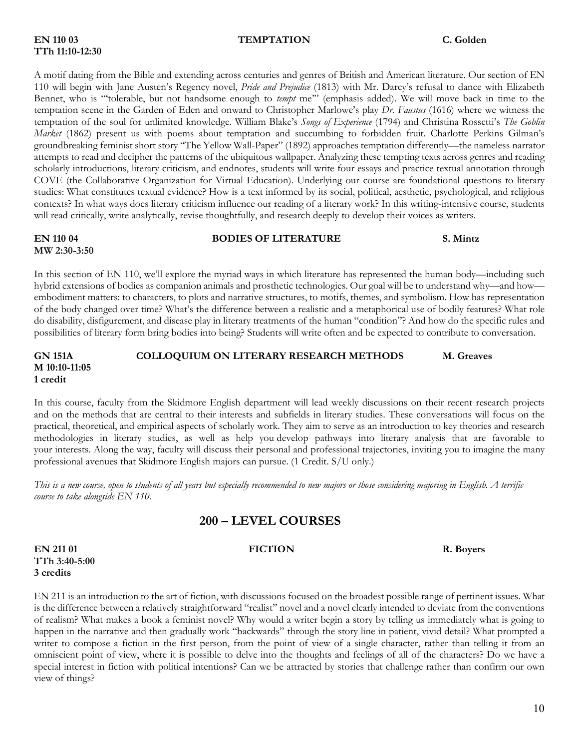# **TTh 11:10-12:30**

#### **EN 110 03 TEMPTATION C. Golden**

A motif dating from the Bible and extending across centuries and genres of British and American literature. Our section of EN 110 will begin with Jane Austen's Regency novel, *Pride and Prejudice* (1813) with Mr. Darcy's refusal to dance with Elizabeth Bennet, who is "'tolerable, but not handsome enough to *tempt* me'" (emphasis added). We will move back in time to the temptation scene in the Garden of Eden and onward to Christopher Marlowe's play *Dr. Faustus* (1616) where we witness the temptation of the soul for unlimited knowledge. William Blake's *Songs of Experience* (1794) and Christina Rossetti's *The Goblin Market* (1862) present us with poems about temptation and succumbing to forbidden fruit. Charlotte Perkins Gilman's groundbreaking feminist short story "The Yellow Wall-Paper" (1892) approaches temptation differently—the nameless narrator attempts to read and decipher the patterns of the ubiquitous wallpaper. Analyzing these tempting texts across genres and reading scholarly introductions, literary criticism, and endnotes, students will write four essays and practice textual annotation through COVE (the Collaborative Organization for Virtual Education). Underlying our course are foundational questions to literary studies: What constitutes textual evidence? How is a text informed by its social, political, aesthetic, psychological, and religious contexts? In what ways does literary criticism influence our reading of a literary work? In this writing-intensive course, students will read critically, write analytically, revise thoughtfully, and research deeply to develop their voices as writers.

# **EN 110 04 BODIES OF LITERATURE S. Mintz**

**MW 2:30-3:50**

In this section of EN 110, we'll explore the myriad ways in which literature has represented the human body—including such hybrid extensions of bodies as companion animals and prosthetic technologies. Our goal will be to understand why—and how embodiment matters: to characters, to plots and narrative structures, to motifs, themes, and symbolism. How has representation of the body changed over time? What's the difference between a realistic and a metaphorical use of bodily features? What role do disability, disfigurement, and disease play in literary treatments of the human "condition"? And how do the specific rules and possibilities of literary form bring bodies into being? Students will write often and be expected to contribute to conversation.

#### **GN 151A COLLOQUIUM ON LITERARY RESEARCH METHODS M. Greaves M 10:10-11:05 1 credit**

In this course, faculty from the Skidmore English department will lead weekly discussions on their recent research projects and on the methods that are central to their interests and subfields in literary studies. These conversations will focus on the practical, theoretical, and empirical aspects of scholarly work. They aim to serve as an introduction to key theories and research methodologies in literary studies, as well as help you develop pathways into literary analysis that are favorable to your interests. Along the way, faculty will discuss their personal and professional trajectories, inviting you to imagine the many professional avenues that Skidmore English majors can pursue. (1 Credit. S/U only.)

*This is a new course, open to students of all years but especially recommended to new majors or those considering majoring in English. A terrific course to take alongside EN 110.*

# **200 – LEVEL COURSES**

**EN 211 01 FICTION R. Boyers TTh 3:40-5:00 3 credits**

EN 211 is an introduction to the art of fiction, with discussions focused on the broadest possible range of pertinent issues. What is the difference between a relatively straightforward "realist" novel and a novel clearly intended to deviate from the conventions of realism? What makes a book a feminist novel? Why would a writer begin a story by telling us immediately what is going to happen in the narrative and then gradually work "backwards" through the story line in patient, vivid detail? What prompted a writer to compose a fiction in the first person, from the point of view of a single character, rather than telling it from an omniscient point of view, where it is possible to delve into the thoughts and feelings of all of the characters? Do we have a special interest in fiction with political intentions? Can we be attracted by stories that challenge rather than confirm our own view of things?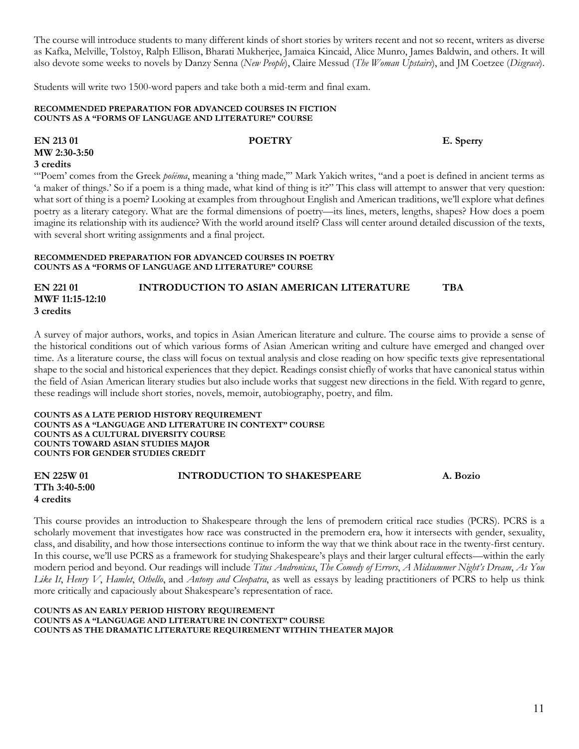The course will introduce students to many different kinds of short stories by writers recent and not so recent, writers as diverse as Kafka, Melville, Tolstoy, Ralph Ellison, Bharati Mukherjee, Jamaica Kincaid, Alice Munro, James Baldwin, and others. It will also devote some weeks to novels by Danzy Senna (*New People*), Claire Messud (*The Woman Upstairs*), and JM Coetzee (*Disgrace*).

Students will write two 1500-word papers and take both a mid-term and final exam.

#### **RECOMMENDED PREPARATION FOR ADVANCED COURSES IN FICTION COUNTS AS A "FORMS OF LANGUAGE AND LITERATURE" COURSE**

## **EN 213 01 POETRY E. Sperry MW 2:30-3:50 3 credits**

"Poem' comes from the Greek *poiēma*, meaning a 'thing made," Mark Yakich writes, "and a poet is defined in ancient terms as 'a maker of things.' So if a poem is a thing made, what kind of thing is it?" This class will attempt to answer that very question: what sort of thing is a poem? Looking at examples from throughout English and American traditions, we'll explore what defines poetry as a literary category. What are the formal dimensions of poetry—its lines, meters, lengths, shapes? How does a poem imagine its relationship with its audience? With the world around itself? Class will center around detailed discussion of the texts, with several short writing assignments and a final project.

#### **RECOMMENDED PREPARATION FOR ADVANCED COURSES IN POETRY COUNTS AS A "FORMS OF LANGUAGE AND LITERATURE" COURSE**

### **EN 221 01 INTRODUCTION TO ASIAN AMERICAN LITERATURE TBA MWF 11:15-12:10 3 credits**

A survey of major authors, works, and topics in Asian American literature and culture. The course aims to provide a sense of the historical conditions out of which various forms of Asian American writing and culture have emerged and changed over time. As a literature course, the class will focus on textual analysis and close reading on how specific texts give representational shape to the social and historical experiences that they depict. Readings consist chiefly of works that have canonical status within the field of Asian American literary studies but also include works that suggest new directions in the field. With regard to genre, these readings will include short stories, novels, memoir, autobiography, poetry, and film.

**COUNTS AS A LATE PERIOD HISTORY REQUIREMENT COUNTS AS A "LANGUAGE AND LITERATURE IN CONTEXT" COURSE COUNTS AS A CULTURAL DIVERSITY COURSE COUNTS TOWARD ASIAN STUDIES MAJOR COUNTS FOR GENDER STUDIES CREDIT**

| EN 225W 01    | <b>INTRODUCTION TO SHAKESPEARE</b> | A. Bozio |
|---------------|------------------------------------|----------|
| TTh 3:40-5:00 |                                    |          |
| 4 credits     |                                    |          |

This course provides an introduction to Shakespeare through the lens of premodern critical race studies (PCRS). PCRS is a scholarly movement that investigates how race was constructed in the premodern era, how it intersects with gender, sexuality, class, and disability, and how those intersections continue to inform the way that we think about race in the twenty-first century. In this course, we'll use PCRS as a framework for studying Shakespeare's plays and their larger cultural effects—within the early modern period and beyond. Our readings will include *Titus Andronicus*, *The Comedy of Errors*, *A Midsummer Night's Dream*, *As You Like It*, *Henry V*, *Hamlet*, *Othello*, and *Antony and Cleopatra*, as well as essays by leading practitioners of PCRS to help us think more critically and capaciously about Shakespeare's representation of race.

#### **COUNTS AS AN EARLY PERIOD HISTORY REQUIREMENT COUNTS AS A "LANGUAGE AND LITERATURE IN CONTEXT" COURSE COUNTS AS THE DRAMATIC LITERATURE REQUIREMENT WITHIN THEATER MAJOR**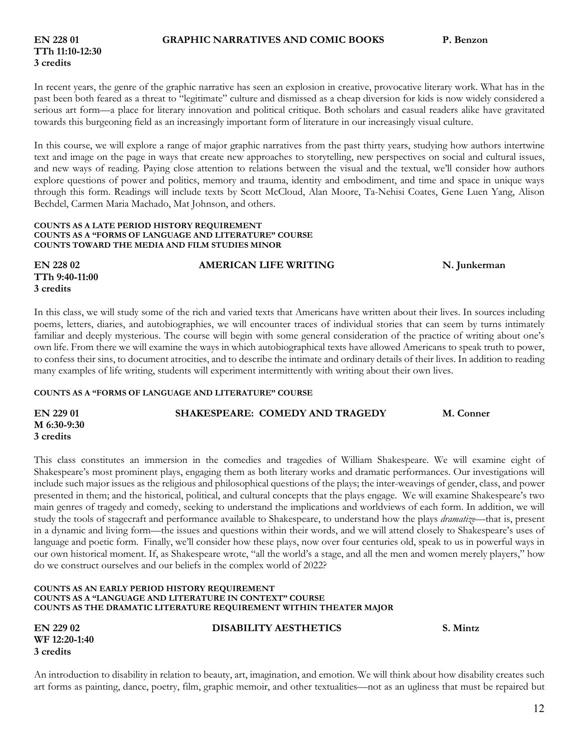# **TTh 11:10-12:30 3 credits**

In recent years, the genre of the graphic narrative has seen an explosion in creative, provocative literary work. What has in the past been both feared as a threat to "legitimate" culture and dismissed as a cheap diversion for kids is now widely considered a serious art form—a place for literary innovation and political critique. Both scholars and casual readers alike have gravitated towards this burgeoning field as an increasingly important form of literature in our increasingly visual culture.

In this course, we will explore a range of major graphic narratives from the past thirty years, studying how authors intertwine text and image on the page in ways that create new approaches to storytelling, new perspectives on social and cultural issues, and new ways of reading. Paying close attention to relations between the visual and the textual, we'll consider how authors explore questions of power and politics, memory and trauma, identity and embodiment, and time and space in unique ways through this form. Readings will include texts by Scott McCloud, Alan Moore, Ta-Nehisi Coates, Gene Luen Yang, Alison Bechdel, Carmen Maria Machado, Mat Johnson, and others.

#### **COUNTS AS A LATE PERIOD HISTORY REQUIREMENT COUNTS AS A "FORMS OF LANGUAGE AND LITERATURE" COURSE COUNTS TOWARD THE MEDIA AND FILM STUDIES MINOR**

**TTh 9:40-11:00 3 credits**

## **EN 228 02 AMERICAN LIFE WRITING N. Junkerman**

In this class, we will study some of the rich and varied texts that Americans have written about their lives. In sources including poems, letters, diaries, and autobiographies, we will encounter traces of individual stories that can seem by turns intimately familiar and deeply mysterious. The course will begin with some general consideration of the practice of writing about one's own life. From there we will examine the ways in which autobiographical texts have allowed Americans to speak truth to power, to confess their sins, to document atrocities, and to describe the intimate and ordinary details of their lives. In addition to reading many examples of life writing, students will experiment intermittently with writing about their own lives.

#### **COUNTS AS A "FORMS OF LANGUAGE AND LITERATURE" COURSE**

**EN 229 01 SHAKESPEARE: COMEDY AND TRAGEDY M. Conner M 6:30-9:30 3 credits**

This class constitutes an immersion in the comedies and tragedies of William Shakespeare. We will examine eight of Shakespeare's most prominent plays, engaging them as both literary works and dramatic performances. Our investigations will include such major issues as the religious and philosophical questions of the plays; the inter-weavings of gender, class, and power presented in them; and the historical, political, and cultural concepts that the plays engage. We will examine Shakespeare's two main genres of tragedy and comedy, seeking to understand the implications and worldviews of each form. In addition, we will study the tools of stagecraft and performance available to Shakespeare, to understand how the plays *dramatize—*that is, present in a dynamic and living form—the issues and questions within their words, and we will attend closely to Shakespeare's uses of language and poetic form. Finally, we'll consider how these plays, now over four centuries old, speak to us in powerful ways in our own historical moment. If, as Shakespeare wrote, "all the world's a stage, and all the men and women merely players," how do we construct ourselves and our beliefs in the complex world of 2022?

#### **COUNTS AS AN EARLY PERIOD HISTORY REQUIREMENT COUNTS AS A "LANGUAGE AND LITERATURE IN CONTEXT" COURSE COUNTS AS THE DRAMATIC LITERATURE REQUIREMENT WITHIN THEATER MAJOR**

**WF 12:20-1:40 3 credits**

#### **EN 229 02 DISABILITY AESTHETICS S. Mintz**

An introduction to disability in relation to beauty, art, imagination, and emotion. We will think about how disability creates such art forms as painting, dance, poetry, film, graphic memoir, and other textualities—not as an ugliness that must be repaired but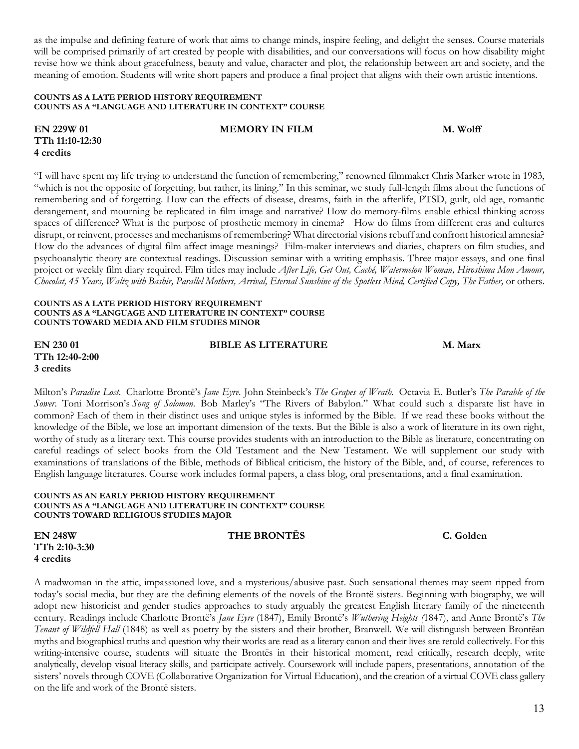as the impulse and defining feature of work that aims to change minds, inspire feeling, and delight the senses. Course materials will be comprised primarily of art created by people with disabilities, and our conversations will focus on how disability might revise how we think about gracefulness, beauty and value, character and plot, the relationship between art and society, and the meaning of emotion. Students will write short papers and produce a final project that aligns with their own artistic intentions.

#### **COUNTS AS A LATE PERIOD HISTORY REQUIREMENT COUNTS AS A "LANGUAGE AND LITERATURE IN CONTEXT" COURSE**

**EN 229W 01 MEMORY IN FILM M. Wolff TTh 11:10-12:30 4 credits**

"I will have spent my life trying to understand the function of remembering," renowned filmmaker Chris Marker wrote in 1983, "which is not the opposite of forgetting, but rather, its lining." In this seminar, we study full-length films about the functions of remembering and of forgetting. How can the effects of disease, dreams, faith in the afterlife, PTSD, guilt, old age, romantic derangement, and mourning be replicated in film image and narrative? How do memory-films enable ethical thinking across spaces of difference? What is the purpose of prosthetic memory in cinema? How do films from different eras and cultures disrupt, or reinvent, processes and mechanisms of remembering? What directorial visions rebuff and confront historical amnesia? How do the advances of digital film affect image meanings? Film-maker interviews and diaries, chapters on film studies, and psychoanalytic theory are contextual readings. Discussion seminar with a writing emphasis. Three major essays, and one final project or weekly film diary required. Film titles may include *After Life, Get Out, Caché, Watermelon Woman, Hiroshima Mon Amour, Chocolat, 45 Years, Waltz with Bashir, Parallel Mothers, Arrival, Eternal Sunshine of the Spotless Mind, Certified Copy, The Father,* or others.

#### **COUNTS AS A LATE PERIOD HISTORY REQUIREMENT COUNTS AS A "LANGUAGE AND LITERATURE IN CONTEXT" COURSE COUNTS TOWARD MEDIA AND FILM STUDIES MINOR**

**EN 230 01 BIBLE AS LITERATURE M. Marx TTh 12:40-2:00 3 credits**

Milton's *Paradise Lost*. Charlotte Brontë's *Jane Eyre*. John Steinbeck's *The Grapes of Wrath.* Octavia E. Butler's *The Parable of the Sower*. Toni Morrison's *Song of Solomon.* Bob Marley's "The Rivers of Babylon." What could such a disparate list have in common? Each of them in their distinct uses and unique styles is informed by the Bible. If we read these books without the knowledge of the Bible, we lose an important dimension of the texts. But the Bible is also a work of literature in its own right, worthy of study as a literary text. This course provides students with an introduction to the Bible as literature, concentrating on careful readings of select books from the Old Testament and the New Testament. We will supplement our study with examinations of translations of the Bible, methods of Biblical criticism, the history of the Bible, and, of course, references to English language literatures. Course work includes formal papers, a class blog, oral presentations, and a final examination.

#### **COUNTS AS AN EARLY PERIOD HISTORY REQUIREMENT COUNTS AS A "LANGUAGE AND LITERATURE IN CONTEXT" COURSE COUNTS TOWARD RELIGIOUS STUDIES MAJOR**

**TTh 2:10-3:30 4 credits**

A madwoman in the attic, impassioned love, and a mysterious/abusive past. Such sensational themes may seem ripped from today's social media, but they are the defining elements of the novels of the Brontë sisters. Beginning with biography, we will adopt new historicist and gender studies approaches to study arguably the greatest English literary family of the nineteenth century. Readings include Charlotte Brontë's *Jane Eyre* (1847), Emily Brontë's *Wuthering Heights (*1847), and Anne Brontë's *The Tenant of Wildfell Hall* (1848) as well as poetry by the sisters and their brother, Branwell. We will distinguish between Brontëan myths and biographical truths and question why their works are read as a literary canon and their lives are retold collectively. For this writing-intensive course, students will situate the Brontës in their historical moment, read critically, research deeply, write analytically, develop visual literacy skills, and participate actively. Coursework will include papers, presentations, annotation of the sisters' novels through COVE (Collaborative Organization for Virtual Education), and the creation of a virtual COVE class gallery on the life and work of the Brontë sisters.

**EN 248W THE BRONTËS C. Golden**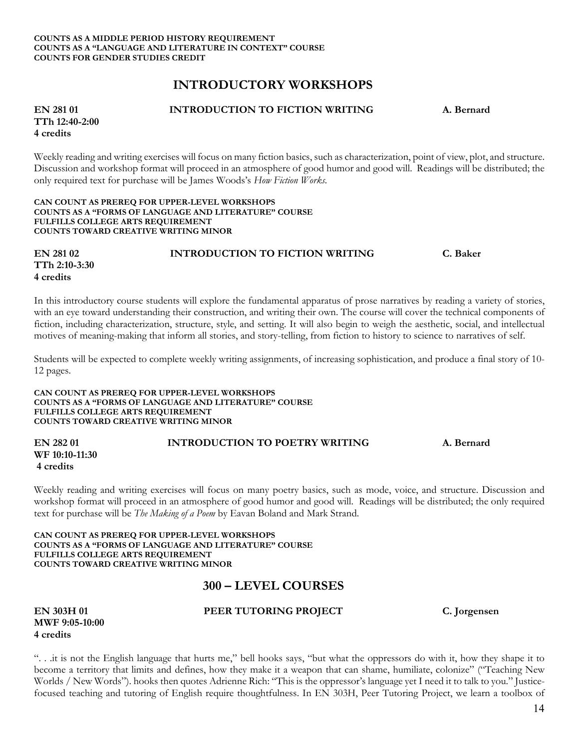# **INTRODUCTORY WORKSHOPS**

#### **EN 281 01 INTRODUCTION TO FICTION WRITING A. Bernard**

**TTh 12:40-2:00 4 credits**

Weekly reading and writing exercises will focus on many fiction basics, such as characterization, point of view, plot, and structure. Discussion and workshop format will proceed in an atmosphere of good humor and good will. Readings will be distributed; the only required text for purchase will be James Woods's *How Fiction Works.* 

#### **CAN COUNT AS PREREQ FOR UPPER-LEVEL WORKSHOPS COUNTS AS A "FORMS OF LANGUAGE AND LITERATURE" COURSE FULFILLS COLLEGE ARTS REQUIREMENT COUNTS TOWARD CREATIVE WRITING MINOR**

**EN 281 02 INTRODUCTION TO FICTION WRITING C. Baker TTh 2:10-3:30 4 credits**

In this introductory course students will explore the fundamental apparatus of prose narratives by reading a variety of stories, with an eye toward understanding their construction, and writing their own. The course will cover the technical components of fiction, including characterization, structure, style, and setting. It will also begin to weigh the aesthetic, social, and intellectual motives of meaning-making that inform all stories, and story-telling, from fiction to history to science to narratives of self.

Students will be expected to complete weekly writing assignments, of increasing sophistication, and produce a final story of 10- 12 pages.

**CAN COUNT AS PREREQ FOR UPPER-LEVEL WORKSHOPS COUNTS AS A "FORMS OF LANGUAGE AND LITERATURE" COURSE FULFILLS COLLEGE ARTS REQUIREMENT COUNTS TOWARD CREATIVE WRITING MINOR**

| EN 282 01      | <b>INTRODUCTION TO POETRY WRITING</b> | A. Bernard |
|----------------|---------------------------------------|------------|
| WF 10:10-11:30 |                                       |            |
| 4 credits      |                                       |            |

Weekly reading and writing exercises will focus on many poetry basics, such as mode, voice, and structure. Discussion and workshop format will proceed in an atmosphere of good humor and good will. Readings will be distributed; the only required text for purchase will be *The Making of a Poem* by Eavan Boland and Mark Strand.

#### **CAN COUNT AS PREREQ FOR UPPER-LEVEL WORKSHOPS COUNTS AS A "FORMS OF LANGUAGE AND LITERATURE" COURSE FULFILLS COLLEGE ARTS REQUIREMENT COUNTS TOWARD CREATIVE WRITING MINOR**

# **300 – LEVEL COURSES**

**MWF 9:05-10:00 4 credits**

**EN 303H 01 PEER TUTORING PROJECT C. Jorgensen**

". . .it is not the English language that hurts me," bell hooks says, "but what the oppressors do with it, how they shape it to become a territory that limits and defines, how they make it a weapon that can shame, humiliate, colonize" ("Teaching New Worlds / New Words"). hooks then quotes Adrienne Rich: "This is the oppressor's language yet I need it to talk to you." Justicefocused teaching and tutoring of English require thoughtfulness. In EN 303H, Peer Tutoring Project, we learn a toolbox of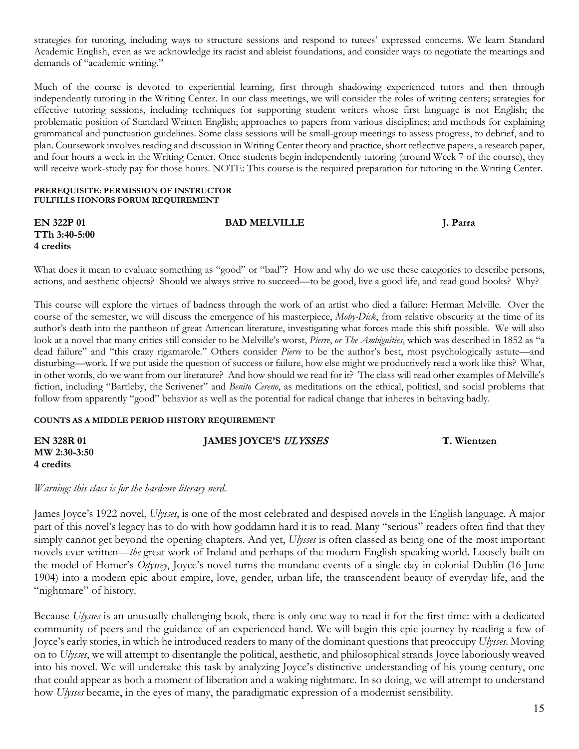strategies for tutoring, including ways to structure sessions and respond to tutees' expressed concerns. We learn Standard Academic English, even as we acknowledge its racist and ableist foundations, and consider ways to negotiate the meanings and demands of "academic writing."

Much of the course is devoted to experiential learning, first through shadowing experienced tutors and then through independently tutoring in the Writing Center. In our class meetings, we will consider the roles of writing centers; strategies for effective tutoring sessions, including techniques for supporting student writers whose first language is not English; the problematic position of Standard Written English; approaches to papers from various disciplines; and methods for explaining grammatical and punctuation guidelines. Some class sessions will be small-group meetings to assess progress, to debrief, and to plan. Coursework involves reading and discussion in Writing Center theory and practice, short reflective papers, a research paper, and four hours a week in the Writing Center. Once students begin independently tutoring (around Week 7 of the course), they will receive work-study pay for those hours. NOTE: This course is the required preparation for tutoring in the Writing Center.

#### **PREREQUISITE: PERMISSION OF INSTRUCTOR FULFILLS HONORS FORUM REQUIREMENT**

| <b>EN 322P 01</b> | <b>BAD MELVILLE</b> | J. Parra |
|-------------------|---------------------|----------|
| TTh 3:40-5:00     |                     |          |
| 4 credits         |                     |          |
|                   |                     |          |

What does it mean to evaluate something as "good" or "bad"? How and why do we use these categories to describe persons, actions, and aesthetic objects? Should we always strive to succeed—to be good, live a good life, and read good books? Why?

This course will explore the virtues of badness through the work of an artist who died a failure: Herman Melville. Over the course of the semester, we will discuss the emergence of his masterpiece, *Moby-Dick*, from relative obscurity at the time of its author's death into the pantheon of great American literature, investigating what forces made this shift possible. We will also look at a novel that many critics still consider to be Melville's worst, *Pierre*, *or The Ambiguities*, which was described in 1852 as "a dead failure" and "this crazy rigamarole." Others consider *Pierre* to be the author's best, most psychologically astute—and disturbing—work. If we put aside the question of success or failure, how else might we productively read a work like this? What, in other words, do we want from our literature? And how should we read for it? The class will read other examples of Melville's fiction, including "Bartleby, the Scrivener" and *Benito Cereno*, as meditations on the ethical, political, and social problems that follow from apparently "good" behavior as well as the potential for radical change that inheres in behaving badly.

#### **COUNTS AS A MIDDLE PERIOD HISTORY REQUIREMENT**

| EN 328R 01   | JAMES JOYCE'S ULYSSES | T. Wientzen |
|--------------|-----------------------|-------------|
| MW 2:30-3:50 |                       |             |
| 4 credits    |                       |             |

*Warning: this class is for the hardcore literary nerd.* 

James Joyce's 1922 novel, *Ulysses*, is one of the most celebrated and despised novels in the English language. A major part of this novel's legacy has to do with how goddamn hard it is to read. Many "serious" readers often find that they simply cannot get beyond the opening chapters. And yet, *Ulysses* is often classed as being one of the most important novels ever written—*the* great work of Ireland and perhaps of the modern English-speaking world. Loosely built on the model of Homer's *Odyssey*, Joyce's novel turns the mundane events of a single day in colonial Dublin (16 June 1904) into a modern epic about empire, love, gender, urban life, the transcendent beauty of everyday life, and the "nightmare" of history.

Because *Ulysses* is an unusually challenging book, there is only one way to read it for the first time: with a dedicated community of peers and the guidance of an experienced hand. We will begin this epic journey by reading a few of Joyce's early stories, in which he introduced readers to many of the dominant questions that preoccupy *Ulysses*. Moving on to *Ulysses*, we will attempt to disentangle the political, aesthetic, and philosophical strands Joyce laboriously weaved into his novel. We will undertake this task by analyzing Joyce's distinctive understanding of his young century, one that could appear as both a moment of liberation and a waking nightmare. In so doing, we will attempt to understand how *Ulysses* became, in the eyes of many, the paradigmatic expression of a modernist sensibility.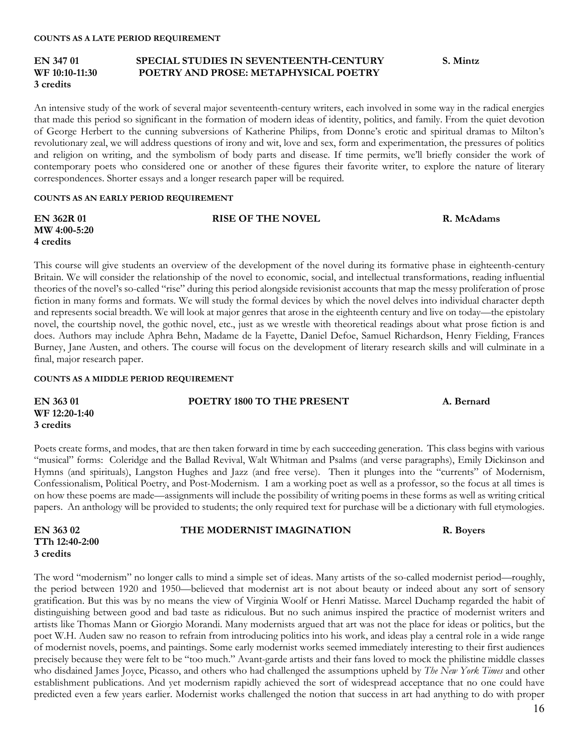#### **EN 347 01 SPECIAL STUDIES IN SEVENTEENTH-CENTURY S. Mintz WF 10:10-11:30 POETRY AND PROSE: METAPHYSICAL POETRY 3 credits**

An intensive study of the work of several major seventeenth-century writers, each involved in some way in the radical energies that made this period so significant in the formation of modern ideas of identity, politics, and family. From the quiet devotion of George Herbert to the cunning subversions of Katherine Philips, from Donne's erotic and spiritual dramas to Milton's revolutionary zeal, we will address questions of irony and wit, love and sex, form and experimentation, the pressures of politics and religion on writing, and the symbolism of body parts and disease. If time permits, we'll briefly consider the work of contemporary poets who considered one or another of these figures their favorite writer, to explore the nature of literary correspondences. Shorter essays and a longer research paper will be required.

#### **COUNTS AS AN EARLY PERIOD REQUIREMENT**

| <b>EN 362R 01</b>        | <b>RISE OF THE NOVEL</b>                                                                                                    | R. McAdams |
|--------------------------|-----------------------------------------------------------------------------------------------------------------------------|------------|
| $\text{MW } 4:00 - 5:20$ |                                                                                                                             |            |
| 4 credits                |                                                                                                                             |            |
|                          |                                                                                                                             |            |
|                          | This course will give students an overview of the development of the novel during its formative phase in eighteenth-century |            |

Britain. We will consider the relationship of the novel to economic, social, and intellectual transformations, reading influential theories of the novel's so-called "rise" during this period alongside revisionist accounts that map the messy proliferation of prose fiction in many forms and formats. We will study the formal devices by which the novel delves into individual character depth and represents social breadth. We will look at major genres that arose in the eighteenth century and live on today—the epistolary novel, the courtship novel, the gothic novel, etc., just as we wrestle with theoretical readings about what prose fiction is and does. Authors may include Aphra Behn, Madame de la Fayette, Daniel Defoe, Samuel Richardson, Henry Fielding, Frances Burney, Jane Austen, and others. The course will focus on the development of literary research skills and will culminate in a final, major research paper.

#### **COUNTS AS A MIDDLE PERIOD REQUIREMENT**

#### **EN 363 01 POETRY 1800 TO THE PRESENT A. Bernard WF 12:20-1:40 3 credits**

Poets create forms, and modes, that are then taken forward in time by each succeeding generation. This class begins with various "musical" forms: Coleridge and the Ballad Revival, Walt Whitman and Psalms (and verse paragraphs), Emily Dickinson and Hymns (and spirituals), Langston Hughes and Jazz (and free verse). Then it plunges into the "currents" of Modernism, Confessionalism, Political Poetry, and Post-Modernism. I am a working poet as well as a professor, so the focus at all times is on how these poems are made—assignments will include the possibility of writing poems in these forms as well as writing critical papers. An anthology will be provided to students; the only required text for purchase will be a dictionary with full etymologies.

| EN 363 02      |
|----------------|
| TTh 12:40-2:00 |
| 3 credits      |

#### THE MODERNIST IMAGINATION **R. Boyers**

#### The word "modernism" no longer calls to mind a simple set of ideas. Many artists of the so-called modernist period—roughly, the period between 1920 and 1950—believed that modernist art is not about beauty or indeed about any sort of sensory gratification. But this was by no means the view of Virginia Woolf or Henri Matisse. Marcel Duchamp regarded the habit of distinguishing between good and bad taste as ridiculous. But no such animus inspired the practice of modernist writers and artists like Thomas Mann or Giorgio Morandi. Many modernists argued that art was not the place for ideas or politics, but the poet W.H. Auden saw no reason to refrain from introducing politics into his work, and ideas play a central role in a wide range of modernist novels, poems, and paintings. Some early modernist works seemed immediately interesting to their first audiences precisely because they were felt to be "too much." Avant-garde artists and their fans loved to mock the philistine middle classes who disdained James Joyce, Picasso, and others who had challenged the assumptions upheld by *The New York Times* and other establishment publications. And yet modernism rapidly achieved the sort of widespread acceptance that no one could have predicted even a few years earlier. Modernist works challenged the notion that success in art had anything to do with proper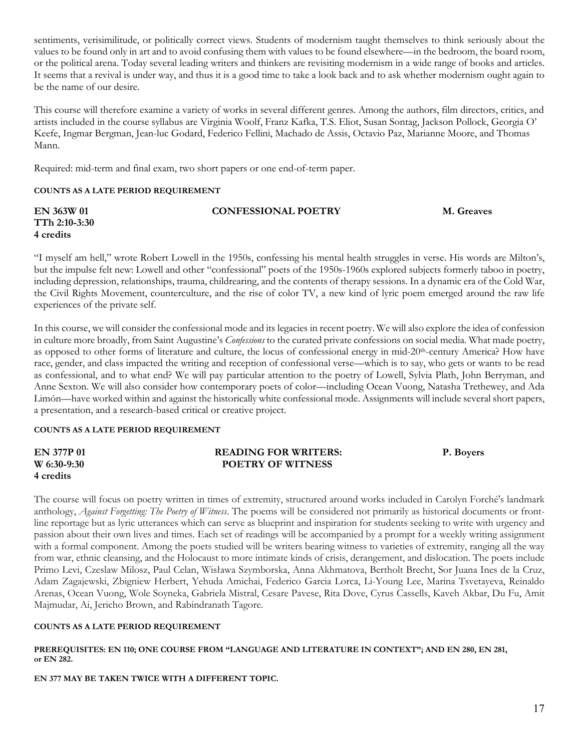sentiments, verisimilitude, or politically correct views. Students of modernism taught themselves to think seriously about the values to be found only in art and to avoid confusing them with values to be found elsewhere—in the bedroom, the board room, or the political arena. Today several leading writers and thinkers are revisiting modernism in a wide range of books and articles. It seems that a revival is under way, and thus it is a good time to take a look back and to ask whether modernism ought again to be the name of our desire.

This course will therefore examine a variety of works in several different genres. Among the authors, film directors, critics, and artists included in the course syllabus are Virginia Woolf, Franz Kafka, T.S. Eliot, Susan Sontag, Jackson Pollock, Georgia O' Keefe, Ingmar Bergman, Jean-luc Godard, Federico Fellini, Machado de Assis, Octavio Paz, Marianne Moore, and Thomas Mann.

Required: mid-term and final exam, two short papers or one end-of-term paper.

#### **COUNTS AS A LATE PERIOD REQUIREMENT**

| EN 363W 01    | <b>CONFESSIONAL POETRY</b> | M. Greaves |
|---------------|----------------------------|------------|
| TTh 2:10-3:30 |                            |            |
| 4 credits     |                            |            |

"I myself am hell," wrote Robert Lowell in the 1950s, confessing his mental health struggles in verse. His words are Milton's, but the impulse felt new: Lowell and other "confessional" poets of the 1950s-1960s explored subjects formerly taboo in poetry, including depression, relationships, trauma, childrearing, and the contents of therapy sessions. In a dynamic era of the Cold War, the Civil Rights Movement, counterculture, and the rise of color TV, a new kind of lyric poem emerged around the raw life experiences of the private self.

In this course, we will consider the confessional mode and its legacies in recent poetry. We will also explore the idea of confession in culture more broadly, from Saint Augustine's *Confessions* to the curated private confessions on social media. What made poetry, as opposed to other forms of literature and culture, the locus of confessional energy in mid-20th-century America? How have race, gender, and class impacted the writing and reception of confessional verse—which is to say, who gets or wants to be read as confessional, and to what end? We will pay particular attention to the poetry of Lowell, Sylvia Plath, John Berryman, and Anne Sexton. We will also consider how contemporary poets of color––including Ocean Vuong, Natasha Trethewey, and Ada Limón––have worked within and against the historically white confessional mode. Assignments will include several short papers, a presentation, and a research-based critical or creative project.

#### **COUNTS AS A LATE PERIOD REQUIREMENT**

| <b>EN 377P 01</b> | <b>READING FOR WRITERS:</b> | P. Boyers |
|-------------------|-----------------------------|-----------|
| W 6:30-9:30       | <b>POETRY OF WITNESS</b>    |           |
| 4 credits         |                             |           |

The course will focus on poetry written in times of extremity, structured around works included in Carolyn Forché's landmark anthology, *Against Forgetting: The Poetry of Witness*. The poems will be considered not primarily as historical documents or frontline reportage but as lyric utterances which can serve as blueprint and inspiration for students seeking to write with urgency and passion about their own lives and times. Each set of readings will be accompanied by a prompt for a weekly writing assignment with a formal component. Among the poets studied will be writers bearing witness to varieties of extremity, ranging all the way from war, ethnic cleansing, and the Holocaust to more intimate kinds of crisis, derangement, and dislocation. The poets include Primo Levi, Czeslaw Milosz, Paul Celan, Wisława Szymborska, Anna Akhmatova, Bertholt Brecht, Sor Juana Ines de la Cruz, Adam Zagajewski, Zbigniew Herbert, Yehuda Amichai, Federico Garcia Lorca, Li-Young Lee, Marina Tsvetayeva, Reinaldo Arenas, Ocean Vuong, Wole Soyneka, Gabriela Mistral, Cesare Pavese, Rita Dove, Cyrus Cassells, Kaveh Akbar, Du Fu, Amit Majmudar, Ai, Jericho Brown, and Rabindranath Tagore.

#### **COUNTS AS A LATE PERIOD REQUIREMENT**

#### **PREREQUISITES: EN 110; ONE COURSE FROM "LANGUAGE AND LITERATURE IN CONTEXT"; AND EN 280, EN 281, or EN 282.**

**EN 377 MAY BE TAKEN TWICE WITH A DIFFERENT TOPIC.**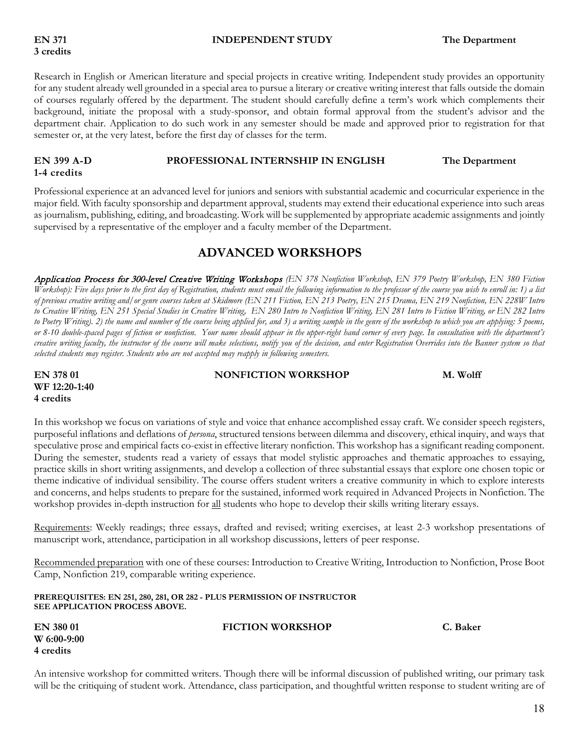#### **EN 371 INDEPENDENT STUDY The Department**

### Research in English or American literature and special projects in creative writing. Independent study provides an opportunity for any student already well grounded in a special area to pursue a literary or creative writing interest that falls outside the domain of courses regularly offered by the department. The student should carefully define a term's work which complements their background, initiate the proposal with a study-sponsor, and obtain formal approval from the student's advisor and the department chair. Application to do such work in any semester should be made and approved prior to registration for that semester or, at the very latest, before the first day of classes for the term.

#### **EN 399 A-D PROFESSIONAL INTERNSHIP IN ENGLISH The Department 1-4 credits**

Professional experience at an advanced level for juniors and seniors with substantial academic and cocurricular experience in the major field. With faculty sponsorship and department approval, students may extend their educational experience into such areas as journalism, publishing, editing, and broadcasting. Work will be supplemented by appropriate academic assignments and jointly supervised by a representative of the employer and a faculty member of the Department.

# **ADVANCED WORKSHOPS**

Application Process for 300-level Creative Writing Workshops *(EN 378 Nonfiction Workshop, EN 379 Poetry Workshop, EN 380 Fiction Workshop): Five days prior to the first day of Registration, students must email the following information to the professor of the course you wish to enroll in: 1) a list of previous creative writing and/or genre courses taken at Skidmore (EN 211 Fiction, EN 213 Poetry, EN 215 Drama, EN 219 Nonfiction, EN 228W Intro to Creative Writing, EN 251 Special Studies in Creative Writing, EN 280 Intro to Nonfiction Writing, EN 281 Intro to Fiction Writing, or EN 282 Intro to Poetry Writing). 2) the name and number of the course being applied for, and 3) a writing sample in the genre of the workshop to which you are applying: 5 poems,*  or 8-10 double-spaced pages of fiction or nonfiction. Your name should appear in the upper-right hand corner of every page. In consultation with the department's creative writing faculty, the instructor of the course will make selections, notify you of the decision, and enter Registration Overrides into the Banner system so that *selected students may register. Students who are not accepted may reapply in following semesters.*

| EN 378 01     |
|---------------|
| WF 12:20-1:40 |
| 4 credits     |

**EN 378 NONFICTION WORKSHOP M. Wolff** 

In this workshop we focus on variations of style and voice that enhance accomplished essay craft. We consider speech registers, purposeful inflations and deflations of *persona*, structured tensions between dilemma and discovery, ethical inquiry, and ways that speculative prose and empirical facts co-exist in effective literary nonfiction. This workshop has a significant reading component. During the semester, students read a variety of essays that model stylistic approaches and thematic approaches to essaying, practice skills in short writing assignments, and develop a collection of three substantial essays that explore one chosen topic or theme indicative of individual sensibility. The course offers student writers a creative community in which to explore interests and concerns, and helps students to prepare for the sustained, informed work required in Advanced Projects in Nonfiction. The workshop provides in-depth instruction for all students who hope to develop their skills writing literary essays.

Requirements: Weekly readings; three essays, drafted and revised; writing exercises, at least 2-3 workshop presentations of manuscript work, attendance, participation in all workshop discussions, letters of peer response.

Recommended preparation with one of these courses: Introduction to Creative Writing, Introduction to Nonfiction, Prose Boot Camp, Nonfiction 219, comparable writing experience.

**PREREQUISITES: EN 251, 280, 281, OR 282 - PLUS PERMISSION OF INSTRUCTOR SEE APPLICATION PROCESS ABOVE.** 

**W 6:00-9:00 4 credits**

#### **EN 380 01 FICTION WORKSHOP C. Baker**

An intensive workshop for committed writers. Though there will be informal discussion of published writing, our primary task will be the critiquing of student work. Attendance, class participation, and thoughtful written response to student writing are of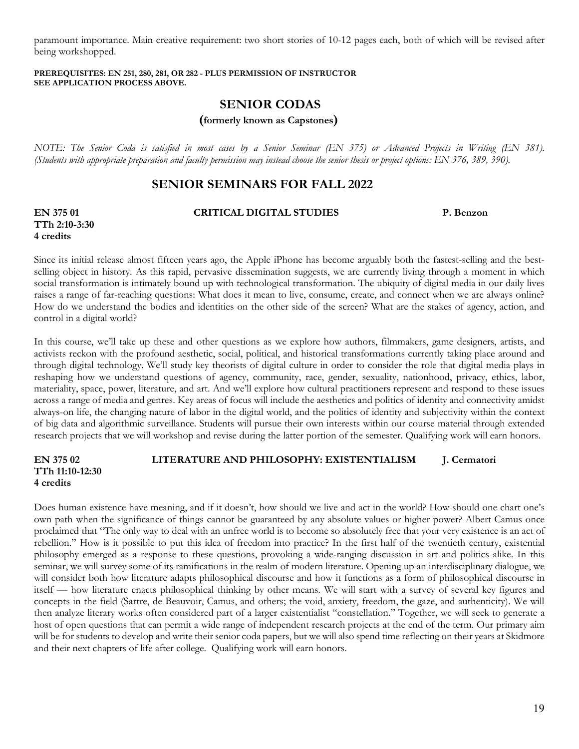paramount importance. Main creative requirement: two short stories of 10-12 pages each, both of which will be revised after being workshopped.

#### **PREREQUISITES: EN 251, 280, 281, OR 282 - PLUS PERMISSION OF INSTRUCTOR SEE APPLICATION PROCESS ABOVE.**

# **SENIOR CODAS**

 **(formerly known as Capstones)**

*NOTE: The Senior Coda is satisfied in most cases by a Senior Seminar (EN 375) or Advanced Projects in Writing (EN 381). (Students with appropriate preparation and faculty permission may instead choose the senior thesis or project options: EN 376, 389, 390).*

# **SENIOR SEMINARS FOR FALL 2022**

**TTh 2:10-3:30 4 credits**

## **EN 375 01 CRITICAL DIGITAL STUDIES P. Benzon**

Since its initial release almost fifteen years ago, the Apple iPhone has become arguably both the fastest-selling and the bestselling object in history. As this rapid, pervasive dissemination suggests, we are currently living through a moment in which social transformation is intimately bound up with technological transformation. The ubiquity of digital media in our daily lives raises a range of far-reaching questions: What does it mean to live, consume, create, and connect when we are always online? How do we understand the bodies and identities on the other side of the screen? What are the stakes of agency, action, and control in a digital world?

In this course, we'll take up these and other questions as we explore how authors, filmmakers, game designers, artists, and activists reckon with the profound aesthetic, social, political, and historical transformations currently taking place around and through digital technology. We'll study key theorists of digital culture in order to consider the role that digital media plays in reshaping how we understand questions of agency, community, race, gender, sexuality, nationhood, privacy, ethics, labor, materiality, space, power, literature, and art. And we'll explore how cultural practitioners represent and respond to these issues across a range of media and genres. Key areas of focus will include the aesthetics and politics of identity and connectivity amidst always-on life, the changing nature of labor in the digital world, and the politics of identity and subjectivity within the context of big data and algorithmic surveillance. Students will pursue their own interests within our course material through extended research projects that we will workshop and revise during the latter portion of the semester. Qualifying work will earn honors.

## **EN 375 02 LITERATURE AND PHILOSOPHY: EXISTENTIALISM J. Cermatori TTh 11:10-12:30 4 credits**

Does human existence have meaning, and if it doesn't, how should we live and act in the world? How should one chart one's own path when the significance of things cannot be guaranteed by any absolute values or higher power? Albert Camus once proclaimed that "The only way to deal with an unfree world is to become so absolutely free that your very existence is an act of rebellion." How is it possible to put this idea of freedom into practice? In the first half of the twentieth century, existential philosophy emerged as a response to these questions, provoking a wide-ranging discussion in art and politics alike. In this seminar, we will survey some of its ramifications in the realm of modern literature. Opening up an interdisciplinary dialogue, we will consider both how literature adapts philosophical discourse and how it functions as a form of philosophical discourse in itself — how literature enacts philosophical thinking by other means. We will start with a survey of several key figures and concepts in the field (Sartre, de Beauvoir, Camus, and others; the void, anxiety, freedom, the gaze, and authenticity). We will then analyze literary works often considered part of a larger existentialist "constellation." Together, we will seek to generate a host of open questions that can permit a wide range of independent research projects at the end of the term. Our primary aim will be for students to develop and write their senior coda papers, but we will also spend time reflecting on their years at Skidmore and their next chapters of life after college. Qualifying work will earn honors.